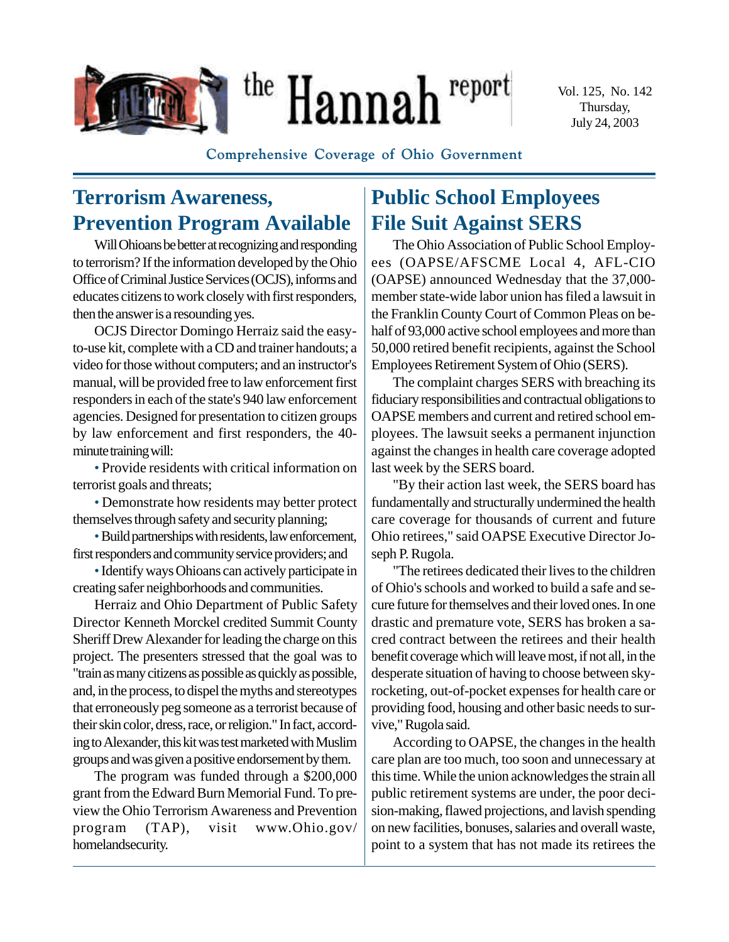

Vol. 125, No. 142 Thursday, July 24, 2003

**Comprehensive Coverage of Ohio Government**

# **Terrorism Awareness, Prevention Program Available**

Will Ohioans be better at recognizing and responding to terrorism? If the information developed by the Ohio Office of Criminal Justice Services (OCJS), informs and educates citizens to work closely with first responders, then the answer is a resounding yes.

OCJS Director Domingo Herraiz said the easyto-use kit, complete with a CD and trainer handouts; a video for those without computers; and an instructor's manual, will be provided free to law enforcement first responders in each of the state's 940 law enforcement agencies. Designed for presentation to citizen groups by law enforcement and first responders, the 40 minute training will:

• Provide residents with critical information on terrorist goals and threats;

• Demonstrate how residents may better protect themselves through safety and security planning;

•Build partnerships with residents, law enforcement, first responders and community service providers; and

• Identify ways Ohioans can actively participate in creating safer neighborhoods and communities.

Herraiz and Ohio Department of Public Safety Director Kenneth Morckel credited Summit County Sheriff Drew Alexander for leading the charge on this project. The presenters stressed that the goal was to "train as many citizens as possible as quickly as possible, and, in the process, to dispel the myths and stereotypes that erroneously peg someone as a terrorist because of their skin color, dress, race, or religion." In fact, according to Alexander, this kit was test marketed with Muslim groups and was given a positive endorsement by them.

The program was funded through a \$200,000 grant from the Edward Burn Memorial Fund. To preview the Ohio Terrorism Awareness and Prevention program (TAP), visit www.Ohio.gov/ homelandsecurity.

# **Public School Employees File Suit Against SERS**

The Ohio Association of Public School Employees (OAPSE/AFSCME Local 4, AFL-CIO (OAPSE) announced Wednesday that the 37,000 member state-wide labor union has filed a lawsuit in the Franklin County Court of Common Pleas on behalf of 93,000 active school employees and more than 50,000 retired benefit recipients, against the School Employees Retirement System of Ohio (SERS).

The complaint charges SERS with breaching its fiduciary responsibilities and contractual obligations to OAPSE members and current and retired school employees. The lawsuit seeks a permanent injunction against the changes in health care coverage adopted last week by the SERS board.

"By their action last week, the SERS board has fundamentally and structurally undermined the health care coverage for thousands of current and future Ohio retirees," said OAPSE Executive Director Joseph P. Rugola.

"The retirees dedicated their lives to the children of Ohio's schools and worked to build a safe and secure future for themselves and their loved ones. In one drastic and premature vote, SERS has broken a sacred contract between the retirees and their health benefit coverage which will leave most, if not all, in the desperate situation of having to choose between skyrocketing, out-of-pocket expenses for health care or providing food, housing and other basic needs to survive," Rugola said.

According to OAPSE, the changes in the health care plan are too much, too soon and unnecessary at this time. While the union acknowledges the strain all public retirement systems are under, the poor decision-making, flawed projections, and lavish spending on new facilities, bonuses, salaries and overall waste, point to a system that has not made its retirees the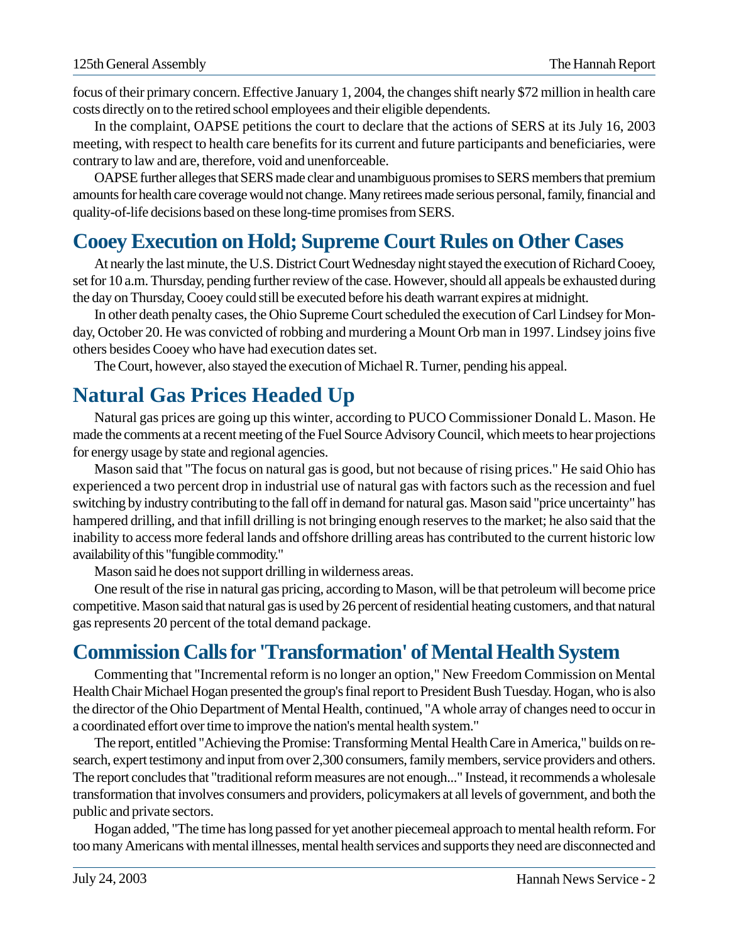focus of their primary concern. Effective January 1, 2004, the changes shift nearly \$72 million in health care costs directly on to the retired school employees and their eligible dependents.

In the complaint, OAPSE petitions the court to declare that the actions of SERS at its July 16, 2003 meeting, with respect to health care benefits for its current and future participants and beneficiaries, were contrary to law and are, therefore, void and unenforceable.

OAPSE further alleges that SERS made clear and unambiguous promises to SERS members that premium amounts for health care coverage would not change. Many retirees made serious personal, family, financial and quality-of-life decisions based on these long-time promises from SERS.

## **Cooey Execution on Hold; Supreme Court Rules on Other Cases**

At nearly the last minute, the U.S. District Court Wednesday night stayed the execution of Richard Cooey, set for 10 a.m. Thursday, pending further review of the case. However, should all appeals be exhausted during the day on Thursday, Cooey could still be executed before his death warrant expires at midnight.

In other death penalty cases, the Ohio Supreme Court scheduled the execution of Carl Lindsey for Monday, October 20. He was convicted of robbing and murdering a Mount Orb man in 1997. Lindsey joins five others besides Cooey who have had execution dates set.

The Court, however, also stayed the execution of Michael R. Turner, pending his appeal.

### **Natural Gas Prices Headed Up**

Natural gas prices are going up this winter, according to PUCO Commissioner Donald L. Mason. He made the comments at a recent meeting of the Fuel Source Advisory Council, which meets to hear projections for energy usage by state and regional agencies.

Mason said that "The focus on natural gas is good, but not because of rising prices." He said Ohio has experienced a two percent drop in industrial use of natural gas with factors such as the recession and fuel switching by industry contributing to the fall off in demand for natural gas. Mason said "price uncertainty" has hampered drilling, and that infill drilling is not bringing enough reserves to the market; he also said that the inability to access more federal lands and offshore drilling areas has contributed to the current historic low availability of this "fungible commodity."

Mason said he does not support drilling in wilderness areas.

One result of the rise in natural gas pricing, according to Mason, will be that petroleum will become price competitive. Mason said that natural gas is used by 26 percent of residential heating customers, and that natural gas represents 20 percent of the total demand package.

# **Commission Calls for 'Transformation' of Mental Health System**

Commenting that "Incremental reform is no longer an option," New Freedom Commission on Mental Health Chair Michael Hogan presented the group's final report to President Bush Tuesday. Hogan, who is also the director of the Ohio Department of Mental Health, continued, "A whole array of changes need to occur in a coordinated effort over time to improve the nation's mental health system."

The report, entitled "Achieving the Promise: Transforming Mental Health Care in America," builds on research, expert testimony and input from over 2,300 consumers, family members, service providers and others. The report concludes that "traditional reform measures are not enough..." Instead, it recommends a wholesale transformation that involves consumers and providers, policymakers at all levels of government, and both the public and private sectors.

Hogan added, "The time has long passed for yet another piecemeal approach to mental health reform. For too many Americans with mental illnesses, mental health services and supports they need are disconnected and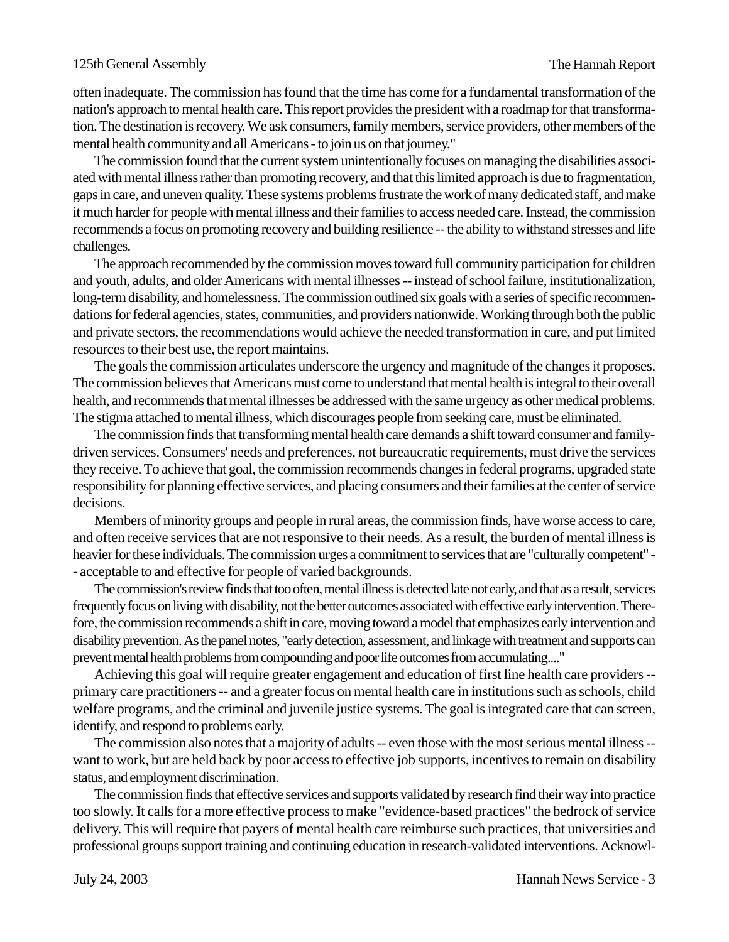often inadequate. The commission has found that the time has come for a fundamental transformation of the nation's approach to mental health care. This report provides the president with a roadmap for that transformation. The destination is recovery. We ask consumers, family members, service providers, other members of the mental health community and all Americans - to join us on that journey."

The commission found that the current system unintentionally focuses on managing the disabilities associated with mental illness rather than promoting recovery, and that this limited approach is due to fragmentation, gaps in care, and uneven quality. These systems problems frustrate the work of many dedicated staff, and make it much harder for people with mental illness and their families to access needed care. Instead, the commission recommends a focus on promoting recovery and building resilience -- the ability to withstand stresses and life challenges.

The approach recommended by the commission moves toward full community participation for children and youth, adults, and older Americans with mental illnesses -- instead of school failure, institutionalization, long-term disability, and homelessness. The commission outlined six goals with a series of specific recommendations for federal agencies, states, communities, and providers nationwide. Working through both the public and private sectors, the recommendations would achieve the needed transformation in care, and put limited resources to their best use, the report maintains.

The goals the commission articulates underscore the urgency and magnitude of the changes it proposes. The commission believes that Americans must come to understand that mental health is integral to their overall health, and recommends that mental illnesses be addressed with the same urgency as other medical problems. The stigma attached to mental illness, which discourages people from seeking care, must be eliminated.

The commission finds that transforming mental health care demands a shift toward consumer and familydriven services. Consumers' needs and preferences, not bureaucratic requirements, must drive the services they receive. To achieve that goal, the commission recommends changes in federal programs, upgraded state responsibility for planning effective services, and placing consumers and their families at the center of service decisions.

Members of minority groups and people in rural areas, the commission finds, have worse access to care, and often receive services that are not responsive to their needs. As a result, the burden of mental illness is heavier for these individuals. The commission urges a commitment to services that are "culturally competent" - - acceptable to and effective for people of varied backgrounds.

The commission's review finds that too often, mental illness is detected late not early, and that as a result, services frequently focus on living with disability, not the better outcomes associated with effective early intervention. Therefore, the commission recommends a shift in care, moving toward a model that emphasizes early intervention and disability prevention. As the panel notes, "early detection, assessment, and linkage with treatment and supports can prevent mental health problems from compounding and poor life outcomes from accumulating...."

Achieving this goal will require greater engagement and education of first line health care providers - primary care practitioners -- and a greater focus on mental health care in institutions such as schools, child welfare programs, and the criminal and juvenile justice systems. The goal is integrated care that can screen, identify, and respond to problems early.

The commission also notes that a majority of adults -- even those with the most serious mental illness - want to work, but are held back by poor access to effective job supports, incentives to remain on disability status, and employment discrimination.

The commission finds that effective services and supports validated by research find their way into practice too slowly. It calls for a more effective process to make "evidence-based practices" the bedrock of service delivery. This will require that payers of mental health care reimburse such practices, that universities and professional groups support training and continuing education in research-validated interventions. Acknowl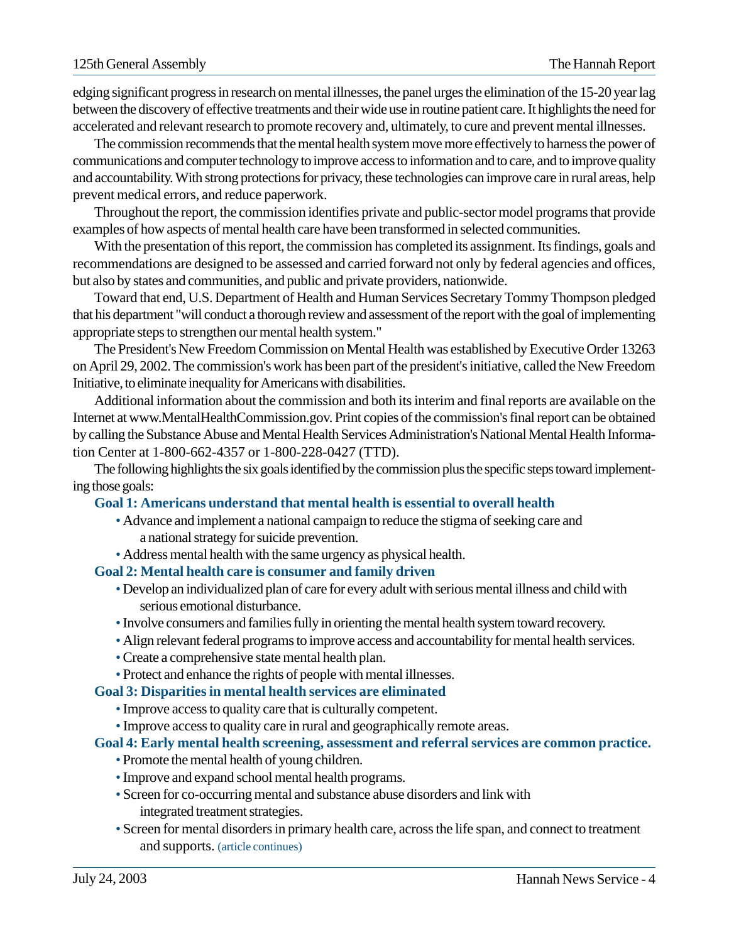edging significant progress in research on mental illnesses, the panel urges the elimination of the 15-20 year lag between the discovery of effective treatments and their wide use in routine patient care. It highlights the need for accelerated and relevant research to promote recovery and, ultimately, to cure and prevent mental illnesses.

The commission recommends that the mental health system move more effectively to harness the power of communications and computer technology to improve access to information and to care, and to improve quality and accountability. With strong protections for privacy, these technologies can improve care in rural areas, help prevent medical errors, and reduce paperwork.

Throughout the report, the commission identifies private and public-sector model programs that provide examples of how aspects of mental health care have been transformed in selected communities.

With the presentation of this report, the commission has completed its assignment. Its findings, goals and recommendations are designed to be assessed and carried forward not only by federal agencies and offices, but also by states and communities, and public and private providers, nationwide.

Toward that end, U.S. Department of Health and Human Services Secretary Tommy Thompson pledged that his department "will conduct a thorough review and assessment of the report with the goal of implementing appropriate steps to strengthen our mental health system."

The President's New Freedom Commission on Mental Health was established by Executive Order 13263 on April 29, 2002. The commission's work has been part of the president's initiative, called the New Freedom Initiative, to eliminate inequality for Americans with disabilities.

Additional information about the commission and both its interim and final reports are available on the Internet at www.MentalHealthCommission.gov. Print copies of the commission's final report can be obtained by calling the Substance Abuse and Mental Health Services Administration's National Mental Health Information Center at 1-800-662-4357 or 1-800-228-0427 (TTD).

The following highlights the six goals identified by the commission plus the specific steps toward implementing those goals:

#### **Goal 1: Americans understand that mental health is essential to overall health**

- Advance and implement a national campaign to reduce the stigma of seeking care and a national strategy for suicide prevention.
- Address mental health with the same urgency as physical health.

#### **Goal 2: Mental health care is consumer and family driven**

- Develop an individualized plan of care for every adult with seriousmental illness and child with serious emotional disturbance.
- Involve consumers and families fully in orienting the mental health system toward recovery.
- Align relevant federal programs to improve access and accountability for mental health services.
- Create a comprehensive state mental health plan.
- Protect and enhance the rights of people with mental illnesses.

#### **Goal 3: Disparities in mental health services are eliminated**

- Improve access to quality care that is culturally competent.
- Improve access to quality care in rural and geographically remote areas.

#### **Goal 4: Early mental health screening, assessment and referral services are common practice.**

- Promote the mental health of young children.
- Improve and expand school mental health programs.
- Screen for co-occurring mental and substance abuse disorders and link with integrated treatment strategies.
- Screen for mental disorders in primary health care, across the life span, and connect to treatment and supports. (article continues)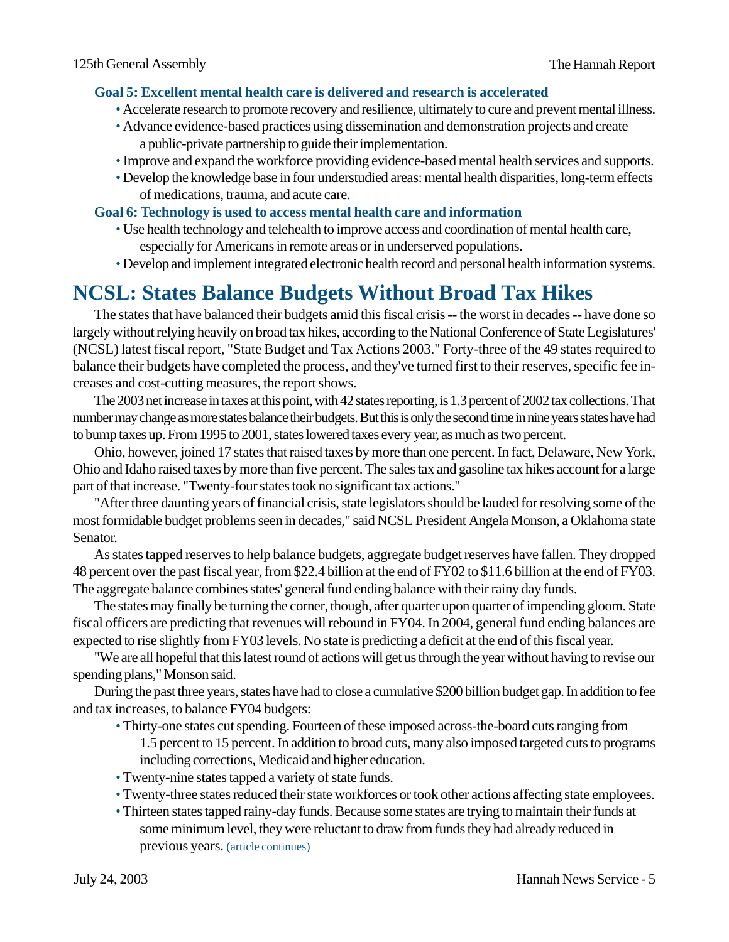#### **Goal 5: Excellent mental health care is delivered and research is accelerated**

- Accelerate research to promote recovery and resilience, ultimately to cure and prevent mental illness.
- Advance evidence-based practices using dissemination and demonstration projects and create a public-private partnership to guide their implementation.
- Improve and expand the workforce providing evidence-based mental health services and supports.
- Develop the knowledge base in four understudied areas: mental health disparities, long-term effects of medications, trauma, and acute care.

#### **Goal 6: Technology is used to access mental health care and information**

- Use health technology and telehealth to improve access and coordination of mental health care, especially for Americans in remote areas or in underserved populations.
- Develop and implement integrated electronic health record and personal health information systems.

# **NCSL: States Balance Budgets Without Broad Tax Hikes**

The states that have balanced their budgets amid this fiscal crisis -- the worst in decades -- have done so largely without relying heavily on broad tax hikes, according to the National Conference of State Legislatures' (NCSL) latest fiscal report, "State Budget and Tax Actions 2003." Forty-three of the 49 states required to balance their budgets have completed the process, and they've turned first to their reserves, specific fee increases and cost-cutting measures, the report shows.

The 2003 net increase in taxes at this point, with 42 states reporting, is 1.3 percent of 2002 tax collections. That number may change as more states balance their budgets. But this is only the second time in nine years states have had to bump taxes up. From 1995 to 2001, states lowered taxes every year, as much as two percent.

Ohio, however, joined 17 states that raised taxes by more than one percent. In fact, Delaware, New York, Ohio and Idaho raised taxes by more than five percent. The sales tax and gasoline tax hikes account for a large part of that increase. "Twenty-four states took no significant tax actions."

"After three daunting years of financial crisis, state legislators should be lauded for resolving some of the most formidable budget problems seen in decades," said NCSL President Angela Monson, a Oklahoma state Senator.

As states tapped reserves to help balance budgets, aggregate budget reserves have fallen. They dropped 48 percent over the past fiscal year, from \$22.4 billion at the end of FY02 to \$11.6 billion at the end of FY03. The aggregate balance combines states' general fund ending balance with their rainy day funds.

The states may finally be turning the corner, though, after quarter upon quarter of impending gloom. State fiscal officers are predicting that revenues will rebound in FY04. In 2004, general fund ending balances are expected to rise slightly from FY03 levels. No state is predicting a deficit at the end of this fiscal year.

"We are all hopeful that this latest round of actions will get us through the year without having to revise our spending plans," Monson said.

During the past three years, states have had to close a cumulative \$200 billion budget gap. In addition to fee and tax increases, to balance FY04 budgets:

- Thirty-one states cut spending. Fourteen of these imposed across-the-board cuts ranging from 1.5 percent to 15 percent. In addition to broad cuts, many also imposed targeted cuts to programs including corrections, Medicaid and higher education.
- Twenty-nine states tapped a variety of state funds.
- Twenty-three states reduced their state workforces or took other actions affecting state employees.
- Thirteen states tapped rainy-day funds. Because some states are trying to maintain their funds at some minimum level, they were reluctant to draw from funds they had already reduced in previous years. (article continues)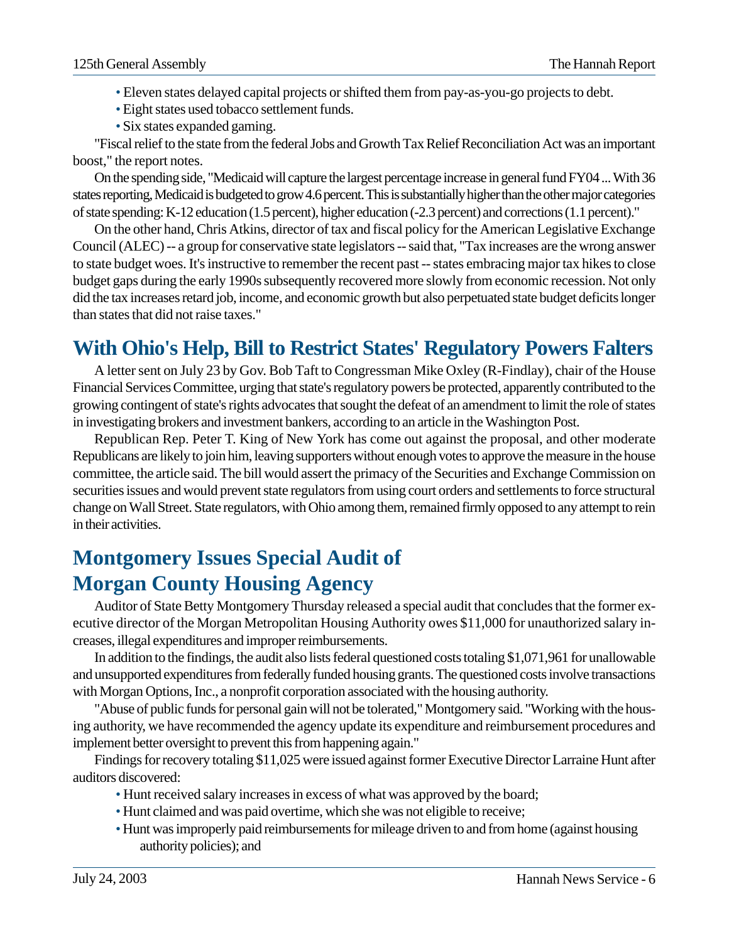- Eleven states delayed capital projects or shifted them from pay-as-you-go projects to debt.
- Eight states used tobacco settlement funds.
- Six states expanded gaming.

"Fiscal relief to the state from the federal Jobs and Growth Tax Relief Reconciliation Act was an important boost," the report notes.

On the spending side, "Medicaid will capture the largest percentage increase in general fund FY04 ... With 36 states reporting, Medicaid is budgeted to grow 4.6 percent. This is substantially higher than the other major categories of state spending: K-12 education (1.5 percent), higher education (-2.3 percent) and corrections (1.1 percent)."

On the other hand, Chris Atkins, director of tax and fiscal policy for the American Legislative Exchange Council (ALEC) -- a group for conservative state legislators -- said that, "Tax increases are the wrong answer to state budget woes. It's instructive to remember the recent past -- states embracing major tax hikes to close budget gaps during the early 1990s subsequently recovered more slowly from economic recession. Not only did the tax increases retard job, income, and economic growth but also perpetuated state budget deficits longer than states that did not raise taxes."

# **With Ohio's Help, Bill to Restrict States' Regulatory Powers Falters**

A letter sent on July 23 by Gov. Bob Taft to Congressman Mike Oxley (R-Findlay), chair of the House Financial Services Committee, urging that state's regulatory powers be protected, apparently contributed to the growing contingent of state's rights advocates that sought the defeat of an amendment to limit the role of states in investigating brokers and investment bankers, according to an article in the Washington Post.

Republican Rep. Peter T. King of New York has come out against the proposal, and other moderate Republicans are likely to join him, leaving supporters without enough votes to approve the measure in the house committee, the article said. The bill would assert the primacy of the Securities and Exchange Commission on securities issues and would prevent state regulators from using court orders and settlements to force structural change on Wall Street. State regulators, with Ohio among them, remained firmly opposed to any attempt to rein in their activities.

# **Montgomery Issues Special Audit of Morgan County Housing Agency**

Auditor of State Betty Montgomery Thursday released a special audit that concludes that the former executive director of the Morgan Metropolitan Housing Authority owes \$11,000 for unauthorized salary increases, illegal expenditures and improper reimbursements.

In addition to the findings, the audit also lists federal questioned costs totaling \$1,071,961 for unallowable and unsupported expenditures from federally funded housing grants. The questioned costs involve transactions with Morgan Options, Inc., a nonprofit corporation associated with the housing authority.

"Abuse of public funds for personal gain will not be tolerated," Montgomery said. "Working with the housing authority, we have recommended the agency update its expenditure and reimbursement procedures and implement better oversight to prevent this from happening again."

Findings for recovery totaling \$11,025 were issued against former Executive Director Larraine Hunt after auditors discovered:

- Hunt received salary increases in excess of what was approved by the board;
- Hunt claimed and was paid overtime, which she was not eligible to receive;
- Hunt was improperly paid reimbursements for mileage driven to and from home (against housing authority policies); and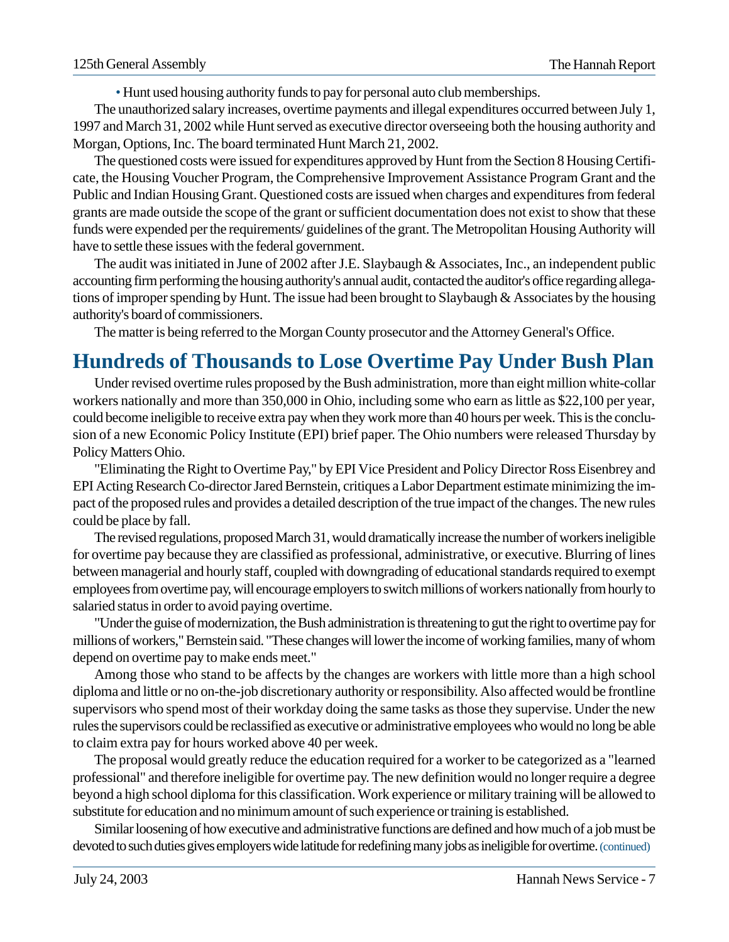• Hunt used housing authority funds to pay for personal auto club memberships.

The unauthorized salary increases, overtime payments and illegal expenditures occurred between July 1, 1997 and March 31, 2002 while Hunt served as executive director overseeing both the housing authority and Morgan, Options, Inc. The board terminated Hunt March 21, 2002.

The questioned costs were issued for expenditures approved by Hunt from the Section 8 Housing Certificate, the Housing Voucher Program, the Comprehensive Improvement Assistance Program Grant and the Public and Indian Housing Grant. Questioned costs are issued when charges and expenditures from federal grants are made outside the scope of the grant or sufficient documentation does not exist to show that these funds were expended per the requirements/ guidelines of the grant. The Metropolitan Housing Authority will have to settle these issues with the federal government.

The audit was initiated in June of 2002 after J.E. Slaybaugh & Associates, Inc., an independent public accounting firm performing the housing authority's annual audit, contacted the auditor's office regarding allegations of improper spending by Hunt. The issue had been brought to Slaybaugh & Associates by the housing authority's board of commissioners.

The matter is being referred to the Morgan County prosecutor and the Attorney General's Office.

# **Hundreds of Thousands to Lose Overtime Pay Under Bush Plan**

Under revised overtime rules proposed by the Bush administration, more than eight million white-collar workers nationally and more than 350,000 in Ohio, including some who earn as little as \$22,100 per year, could become ineligible to receive extra pay when they work more than 40 hours per week. This is the conclusion of a new Economic Policy Institute (EPI) brief paper. The Ohio numbers were released Thursday by Policy Matters Ohio.

"Eliminating the Right to Overtime Pay," by EPI Vice President and Policy Director Ross Eisenbrey and EPI Acting Research Co-director Jared Bernstein, critiques a Labor Department estimate minimizing the impact of the proposed rules and provides a detailed description of the true impact of the changes. The new rules could be place by fall.

The revised regulations, proposed March 31, would dramatically increase the number of workers ineligible for overtime pay because they are classified as professional, administrative, or executive. Blurring of lines between managerial and hourly staff, coupled with downgrading of educational standards required to exempt employees from overtime pay, will encourage employers to switch millions of workers nationally from hourly to salaried status in order to avoid paying overtime.

"Under the guise of modernization, the Bush administration is threatening to gut the right to overtime pay for millions of workers," Bernstein said. "These changes will lower the income of working families, many of whom depend on overtime pay to make ends meet."

Among those who stand to be affects by the changes are workers with little more than a high school diploma and little or no on-the-job discretionary authority or responsibility. Also affected would be frontline supervisors who spend most of their workday doing the same tasks as those they supervise. Under the new rules the supervisors could be reclassified as executive or administrative employees who would no long be able to claim extra pay for hours worked above 40 per week.

The proposal would greatly reduce the education required for a worker to be categorized as a "learned professional" and therefore ineligible for overtime pay. The new definition would no longer require a degree beyond a high school diploma for this classification. Work experience or military training will be allowed to substitute for education and no minimum amount of such experience or training is established.

Similar loosening of how executive and administrative functions are defined and how much of a job must be devoted to such duties gives employers wide latitude for redefining many jobs as ineligible for overtime.(continued)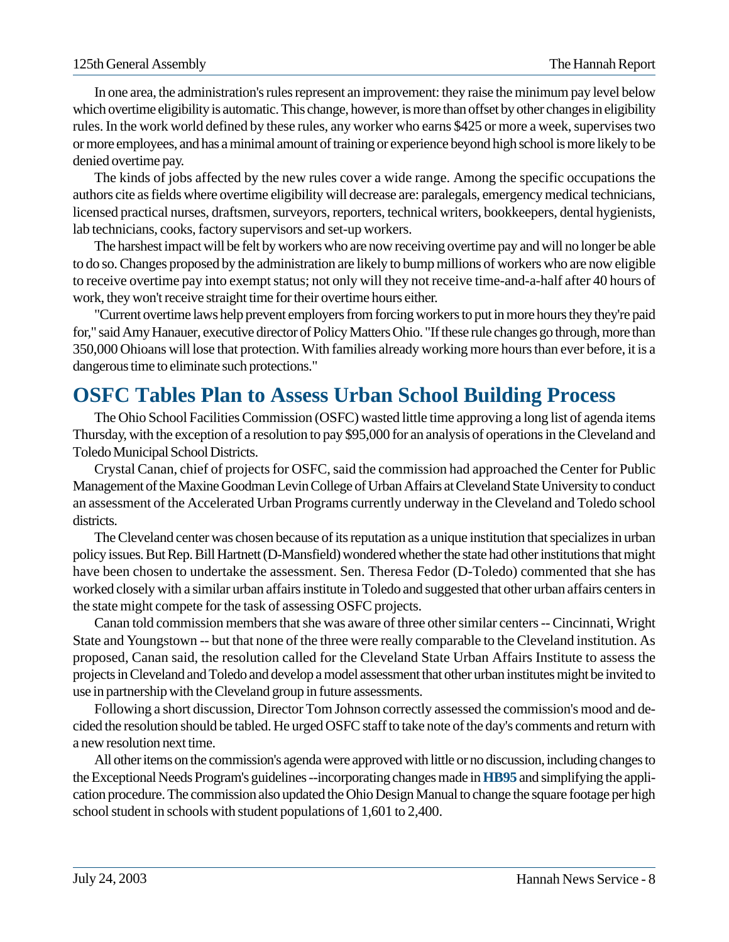In one area, the administration's rules represent an improvement: they raise the minimum pay level below which overtime eligibility is automatic. This change, however, is more than offset by other changes in eligibility rules. In the work world defined by these rules, any worker who earns \$425 or more a week, supervises two or more employees, and has a minimal amount of training or experience beyond high school is more likely to be denied overtime pay.

The kinds of jobs affected by the new rules cover a wide range. Among the specific occupations the authors cite as fields where overtime eligibility will decrease are: paralegals, emergency medical technicians, licensed practical nurses, draftsmen, surveyors, reporters, technical writers, bookkeepers, dental hygienists, lab technicians, cooks, factory supervisors and set-up workers.

The harshest impact will be felt by workers who are now receiving overtime pay and will no longer be able to do so. Changes proposed by the administration are likely to bump millions of workers who are now eligible to receive overtime pay into exempt status; not only will they not receive time-and-a-half after 40 hours of work, they won't receive straight time for their overtime hours either.

"Current overtime laws help prevent employers from forcing workers to put in more hours they they're paid for," said Amy Hanauer, executive director of Policy Matters Ohio. "If these rule changes go through, more than 350,000 Ohioans will lose that protection. With families already working more hours than ever before, it is a dangerous time to eliminate such protections."

## **OSFC Tables Plan to Assess Urban School Building Process**

The Ohio School Facilities Commission (OSFC) wasted little time approving a long list of agenda items Thursday, with the exception of a resolution to pay \$95,000 for an analysis of operations in the Cleveland and Toledo Municipal School Districts.

Crystal Canan, chief of projects for OSFC, said the commission had approached the Center for Public Management of the Maxine Goodman Levin College of Urban Affairs at Cleveland State University to conduct an assessment of the Accelerated Urban Programs currently underway in the Cleveland and Toledo school districts.

The Cleveland center was chosen because of its reputation as a unique institution that specializes in urban policy issues. But Rep. Bill Hartnett (D-Mansfield) wondered whether the state had other institutions that might have been chosen to undertake the assessment. Sen. Theresa Fedor (D-Toledo) commented that she has worked closely with a similar urban affairs institute in Toledo and suggested that other urban affairs centers in the state might compete for the task of assessing OSFC projects.

Canan told commission members that she was aware of three other similar centers -- Cincinnati, Wright State and Youngstown -- but that none of the three were really comparable to the Cleveland institution. As proposed, Canan said, the resolution called for the Cleveland State Urban Affairs Institute to assess the projects in Cleveland and Toledo and develop a model assessment that other urban institutes might be invited to use in partnership with the Cleveland group in future assessments.

Following a short discussion, Director Tom Johnson correctly assessed the commission's mood and decided the resolution should be tabled. He urged OSFC staff to take note of the day's comments and return with a new resolution next time.

All other items on the commission's agenda were approved with little or no discussion, including changes to the Exceptional Needs Program's guidelines --incorporating changes made in**HB95** and simplifying the application procedure. The commission also updated the Ohio Design Manual to change the square footage per high school student in schools with student populations of 1,601 to 2,400.